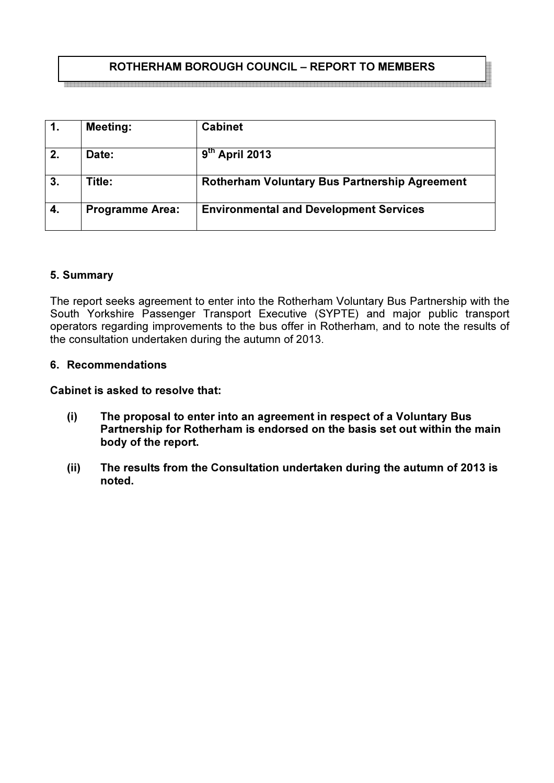# ROTHERHAM BOROUGH COUNCIL – REPORT TO MEMBERS

|    | <b>Meeting:</b>        | <b>Cabinet</b>                                       |
|----|------------------------|------------------------------------------------------|
| 2. | Date:                  | $9th$ April 2013                                     |
| 3. | Title:                 | <b>Rotherham Voluntary Bus Partnership Agreement</b> |
| 4. | <b>Programme Area:</b> | <b>Environmental and Development Services</b>        |

# 5. Summary

The report seeks agreement to enter into the Rotherham Voluntary Bus Partnership with the South Yorkshire Passenger Transport Executive (SYPTE) and major public transport operators regarding improvements to the bus offer in Rotherham, and to note the results of the consultation undertaken during the autumn of 2013.

## 6. Recommendations

Cabinet is asked to resolve that:

- (i) The proposal to enter into an agreement in respect of a Voluntary Bus Partnership for Rotherham is endorsed on the basis set out within the main body of the report.
- (ii) The results from the Consultation undertaken during the autumn of 2013 is noted.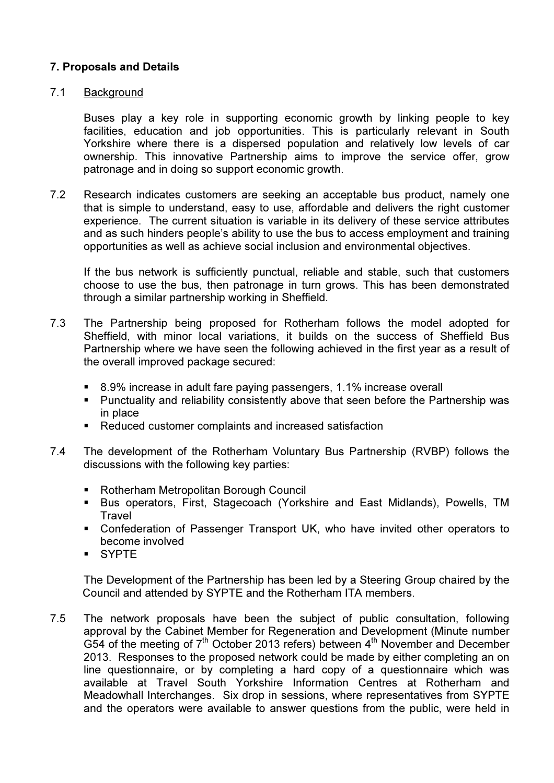## 7. Proposals and Details

## 7.1 Background

 Buses play a key role in supporting economic growth by linking people to key facilities, education and job opportunities. This is particularly relevant in South Yorkshire where there is a dispersed population and relatively low levels of car ownership. This innovative Partnership aims to improve the service offer, grow patronage and in doing so support economic growth.

7.2 Research indicates customers are seeking an acceptable bus product, namely one that is simple to understand, easy to use, affordable and delivers the right customer experience. The current situation is variable in its delivery of these service attributes and as such hinders people's ability to use the bus to access employment and training opportunities as well as achieve social inclusion and environmental objectives.

 If the bus network is sufficiently punctual, reliable and stable, such that customers choose to use the bus, then patronage in turn grows. This has been demonstrated through a similar partnership working in Sheffield.

- 7.3 The Partnership being proposed for Rotherham follows the model adopted for Sheffield, with minor local variations, it builds on the success of Sheffield Bus Partnership where we have seen the following achieved in the first year as a result of the overall improved package secured:
	- 8.9% increase in adult fare paying passengers, 1.1% increase overall
	- Punctuality and reliability consistently above that seen before the Partnership was in place
	- Reduced customer complaints and increased satisfaction
- 7.4 The development of the Rotherham Voluntary Bus Partnership (RVBP) follows the discussions with the following key parties:
	- Rotherham Metropolitan Borough Council
	- Bus operators, First, Stagecoach (Yorkshire and East Midlands), Powells, TM **Travel**
	- Confederation of Passenger Transport UK, who have invited other operators to become involved
	- SYPTE

The Development of the Partnership has been led by a Steering Group chaired by the Council and attended by SYPTE and the Rotherham ITA members.

7.5 The network proposals have been the subject of public consultation, following approval by the Cabinet Member for Regeneration and Development (Minute number G54 of the meeting of  $7<sup>th</sup>$  October 2013 refers) between  $4<sup>th</sup>$  November and December 2013. Responses to the proposed network could be made by either completing an on line questionnaire, or by completing a hard copy of a questionnaire which was available at Travel South Yorkshire Information Centres at Rotherham and Meadowhall Interchanges. Six drop in sessions, where representatives from SYPTE and the operators were available to answer questions from the public, were held in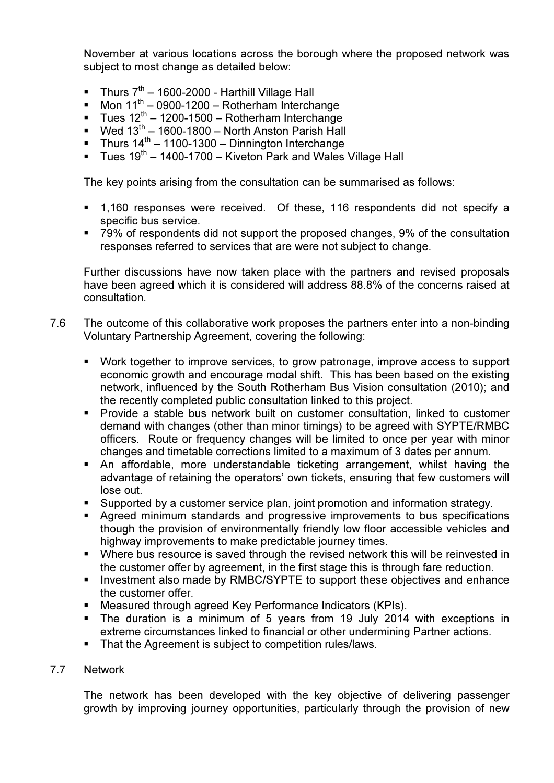November at various locations across the borough where the proposed network was subject to most change as detailed below:

- Thurs  $7<sup>th</sup>$  1600-2000 Harthill Village Hall
- Mon  $11^{th}$  0900-1200 Rotherham Interchange
- $\blacksquare$  Tues 12<sup>th</sup> 1200-1500 Rotherham Interchange
- Wed  $13^{th}$  1600-1800 North Anston Parish Hall
- Thurs  $14^{th} 1100-1300 -$  Dinnington Interchange
- **Tues 19<sup>th</sup> 1400-1700 Kiveton Park and Wales Village Hall**

The key points arising from the consultation can be summarised as follows:

- 1,160 responses were received. Of these, 116 respondents did not specify a specific bus service.
- 79% of respondents did not support the proposed changes, 9% of the consultation responses referred to services that are were not subject to change.

Further discussions have now taken place with the partners and revised proposals have been agreed which it is considered will address 88.8% of the concerns raised at consultation.

- 7.6 The outcome of this collaborative work proposes the partners enter into a non-binding Voluntary Partnership Agreement, covering the following:
	- Work together to improve services, to grow patronage, improve access to support economic growth and encourage modal shift. This has been based on the existing network, influenced by the South Rotherham Bus Vision consultation (2010); and the recently completed public consultation linked to this project.
	- Provide a stable bus network built on customer consultation, linked to customer demand with changes (other than minor timings) to be agreed with SYPTE/RMBC officers. Route or frequency changes will be limited to once per year with minor changes and timetable corrections limited to a maximum of 3 dates per annum.
	- An affordable, more understandable ticketing arrangement, whilst having the advantage of retaining the operators' own tickets, ensuring that few customers will lose out.
	- Supported by a customer service plan, joint promotion and information strategy.
	- Agreed minimum standards and progressive improvements to bus specifications though the provision of environmentally friendly low floor accessible vehicles and highway improvements to make predictable journey times.
	- Where bus resource is saved through the revised network this will be reinvested in the customer offer by agreement, in the first stage this is through fare reduction.
	- **Investment also made by RMBC/SYPTE to support these objectives and enhance** the customer offer.
	- Measured through agreed Key Performance Indicators (KPIs).
	- The duration is a minimum of 5 years from 19 July 2014 with exceptions in extreme circumstances linked to financial or other undermining Partner actions.
	- That the Agreement is subject to competition rules/laws.

### 7.7 Network

The network has been developed with the key objective of delivering passenger growth by improving journey opportunities, particularly through the provision of new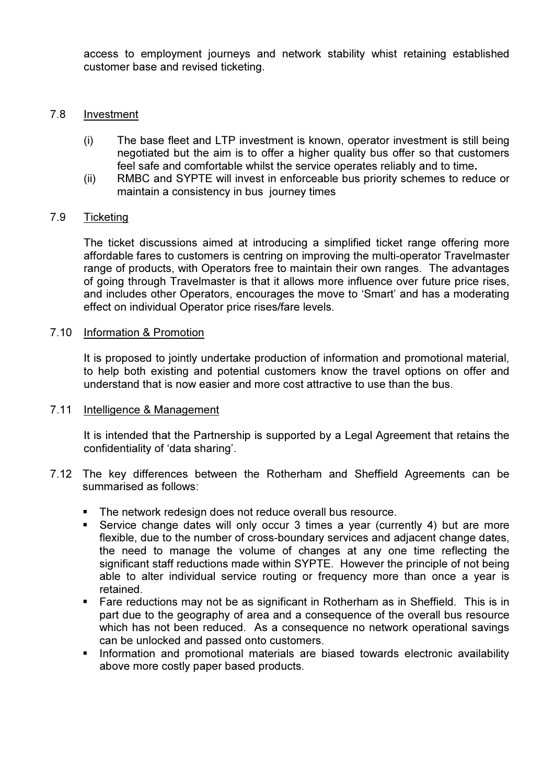access to employment journeys and network stability whist retaining established customer base and revised ticketing.

#### 7.8 Investment

- (i) The base fleet and LTP investment is known, operator investment is still being negotiated but the aim is to offer a higher quality bus offer so that customers feel safe and comfortable whilst the service operates reliably and to time.
- (ii) RMBC and SYPTE will invest in enforceable bus priority schemes to reduce or maintain a consistency in bus journey times

## 7.9 Ticketing

 The ticket discussions aimed at introducing a simplified ticket range offering more affordable fares to customers is centring on improving the multi-operator Travelmaster range of products, with Operators free to maintain their own ranges. The advantages of going through Travelmaster is that it allows more influence over future price rises, and includes other Operators, encourages the move to 'Smart' and has a moderating effect on individual Operator price rises/fare levels.

#### 7.10 Information & Promotion

 It is proposed to jointly undertake production of information and promotional material, to help both existing and potential customers know the travel options on offer and understand that is now easier and more cost attractive to use than the bus.

#### 7.11 Intelligence & Management

It is intended that the Partnership is supported by a Legal Agreement that retains the confidentiality of 'data sharing'.

- 7.12 The key differences between the Rotherham and Sheffield Agreements can be summarised as follows:
	- **The network redesign does not reduce overall bus resource.**
	- Service change dates will only occur 3 times a year (currently 4) but are more flexible, due to the number of cross-boundary services and adjacent change dates, the need to manage the volume of changes at any one time reflecting the significant staff reductions made within SYPTE. However the principle of not being able to alter individual service routing or frequency more than once a year is retained.
	- Fare reductions may not be as significant in Rotherham as in Sheffield. This is in part due to the geography of area and a consequence of the overall bus resource which has not been reduced. As a consequence no network operational savings can be unlocked and passed onto customers.
	- **Information and promotional materials are biased towards electronic availability** above more costly paper based products.